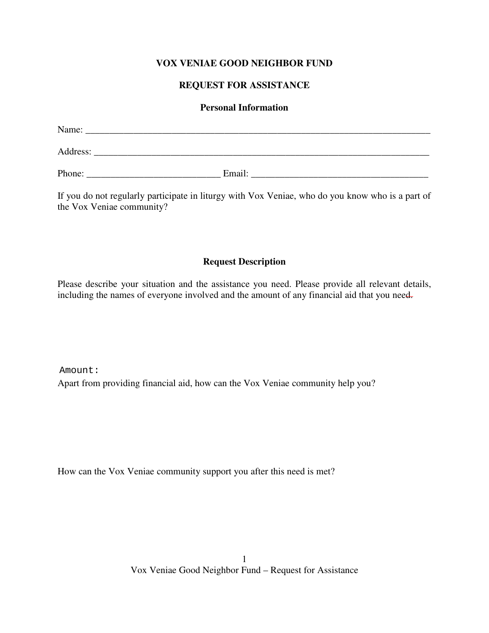## **VOX VENIAE GOOD NEIGHBOR FUND**

## **REQUEST FOR ASSISTANCE**

## **Personal Information**

| Name:    |        |  |
|----------|--------|--|
| Address: |        |  |
| Phone:   | Email: |  |

If you do not regularly participate in liturgy with Vox Veniae, who do you know who is a part of the Vox Veniae community?

## **Request Description**

Please describe your situation and the assistance you need. Please provide all relevant details, including the names of everyone involved and the amount of any financial aid that you need.

Apart from providing financial aid, how can the Vox Veniae community help you? Amount:

How can the Vox Veniae community support you after this need is met?